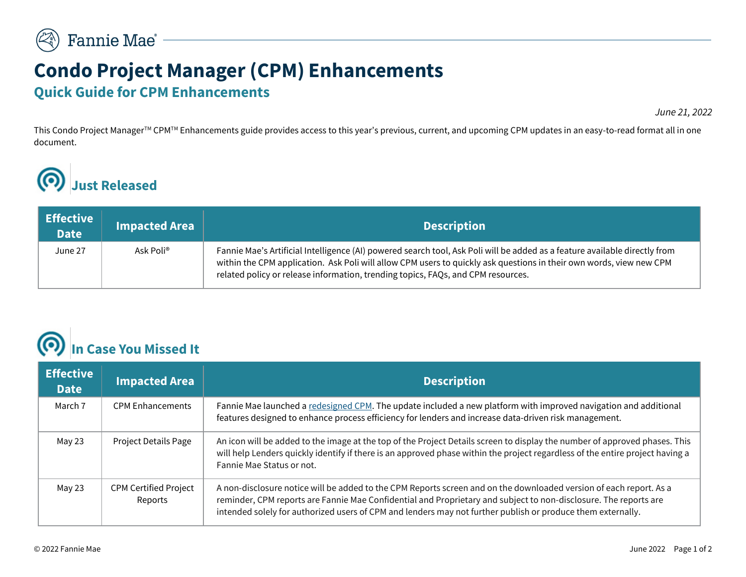## **Condo Project Manager (CPM) Enhancements Quick Guide for CPM Enhancements**

*June 21, 2022*

This Condo Project Manager<sup>™</sup> CPM<sup>™</sup> Enhancements guide provides access to this year's previous, current, and upcoming CPM updates in an easy-to-read format all in one document.

## **Just Released**(Q)

| $\vert$ Effective $\vert$<br><b>Date</b> | <b>Impacted Area</b>  | <b>Description</b>                                                                                                                                                                                                                                                                                                                    |
|------------------------------------------|-----------------------|---------------------------------------------------------------------------------------------------------------------------------------------------------------------------------------------------------------------------------------------------------------------------------------------------------------------------------------|
| June 27                                  | Ask Poli <sup>®</sup> | Fannie Mae's Artificial Intelligence (AI) powered search tool, Ask Poli will be added as a feature available directly from<br>within the CPM application. Ask Poli will allow CPM users to quickly ask questions in their own words, view new CPM<br>related policy or release information, trending topics, FAQs, and CPM resources. |

## **In Case You Missed It**

| <b>Effective</b><br><b>Date</b> | <b>Impacted Area</b>                    | <b>Description</b>                                                                                                                                                                                                                                                                                                                                    |
|---------------------------------|-----------------------------------------|-------------------------------------------------------------------------------------------------------------------------------------------------------------------------------------------------------------------------------------------------------------------------------------------------------------------------------------------------------|
| March 7                         | <b>CPM Enhancements</b>                 | Fannie Mae launched a redesigned CPM. The update included a new platform with improved navigation and additional<br>features designed to enhance process efficiency for lenders and increase data-driven risk management.                                                                                                                             |
| May 23                          | Project Details Page                    | An icon will be added to the image at the top of the Project Details screen to display the number of approved phases. This<br>will help Lenders quickly identify if there is an approved phase within the project regardless of the entire project having a<br>Fannie Mae Status or not.                                                              |
| May 23                          | <b>CPM Certified Project</b><br>Reports | A non-disclosure notice will be added to the CPM Reports screen and on the downloaded version of each report. As a<br>reminder, CPM reports are Fannie Mae Confidential and Proprietary and subject to non-disclosure. The reports are<br>intended solely for authorized users of CPM and lenders may not further publish or produce them externally. |